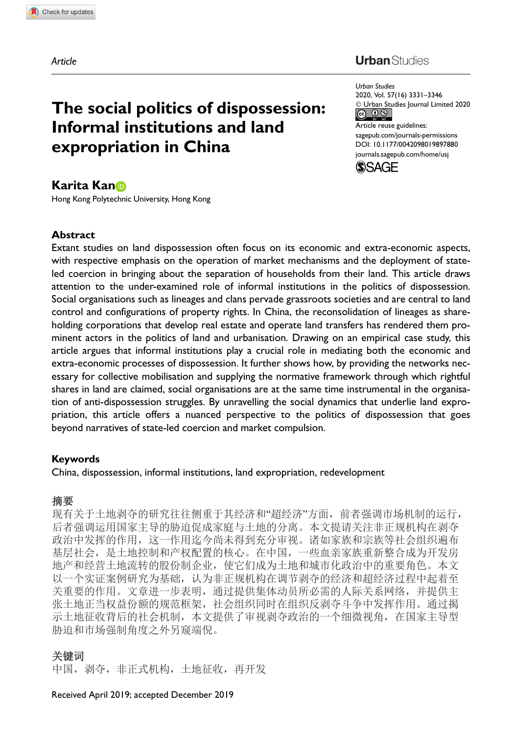Article

## **Urban** Studies

Urban Studies 2020, Vol. 57(16) 3331–3346 - Urban Studies Journal Limited 2020

Article reuse guidelines: [sagepub.com/journals-permissions](https://uk.sagepub.com/en-gb/journals-permissions) [DOI: 10.1177/0042098019897880](https://doi.org/10.1177/0042098019897880) <journals.sagepub.com/home/usj>



### Karita Kan

Hong Kong Polytechnic University, Hong Kong

expropriation in China

The social politics of dispossession:

Informal institutions and land

#### **Abstract**

Extant studies on land dispossession often focus on its economic and extra-economic aspects, with respective emphasis on the operation of market mechanisms and the deployment of stateled coercion in bringing about the separation of households from their land. This article draws attention to the under-examined role of informal institutions in the politics of dispossession. Social organisations such as lineages and clans pervade grassroots societies and are central to land control and configurations of property rights. In China, the reconsolidation of lineages as shareholding corporations that develop real estate and operate land transfers has rendered them prominent actors in the politics of land and urbanisation. Drawing on an empirical case study, this article argues that informal institutions play a crucial role in mediating both the economic and extra-economic processes of dispossession. It further shows how, by providing the networks necessary for collective mobilisation and supplying the normative framework through which rightful shares in land are claimed, social organisations are at the same time instrumental in the organisation of anti-dispossession struggles. By unravelling the social dynamics that underlie land expropriation, this article offers a nuanced perspective to the politics of dispossession that goes beyond narratives of state-led coercion and market compulsion.

#### Keywords

China, dispossession, informal institutions, land expropriation, redevelopment

## ᪈㾱

现有关于土地剥夺的研究往往侧重于其经济和"超经济"方面, 前者强调市场机制的运行, 后者强调运用国家主导的胁迫促成家庭与土地的分离。本文提请关注非正规机构在剥夺 政治中发挥的作用,这一作用迄今尚未得到充分审视。诸如家族和宗族等社会组织遍布 基层社会, 是土地控制和产权配置的核心。在中国, 一些血亲家族重新整合成为开发房 地产和经营土地流转的股份制企业,使它们成为土地和城市化政治中的重要角色。本文 以一个实证案例研究为基础,认为非正规机构在调节剥夺的经济和超经济过程中起着至 关重要的作用。文章讲一步表明,通过提供集体动员所必需的人际关系网络,并提供主 张土地正当权益份额的规范框架,社会组织同时在组织反剥夺斗争中发挥作用。通过揭 示土地征收背后的社会机制,本文提供了审视剥夺政治的一个细微视角,在国家主导型 胁迫和市场强制角度之外另窥端倪。

### 关键词

中国, 剥夺, 非正式机构, 土地征收, 再开发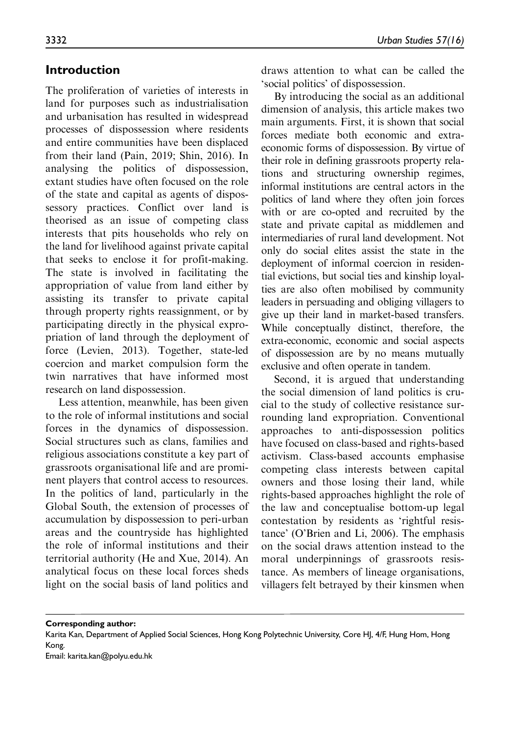## Introduction

The proliferation of varieties of interests in land for purposes such as industrialisation and urbanisation has resulted in widespread processes of dispossession where residents and entire communities have been displaced from their land (Pain, 2019; Shin, 2016). In analysing the politics of dispossession, extant studies have often focused on the role of the state and capital as agents of dispossessory practices. Conflict over land is theorised as an issue of competing class interests that pits households who rely on the land for livelihood against private capital that seeks to enclose it for profit-making. The state is involved in facilitating the appropriation of value from land either by assisting its transfer to private capital through property rights reassignment, or by participating directly in the physical expropriation of land through the deployment of force (Levien, 2013). Together, state-led coercion and market compulsion form the twin narratives that have informed most research on land dispossession.

Less attention, meanwhile, has been given to the role of informal institutions and social forces in the dynamics of dispossession. Social structures such as clans, families and religious associations constitute a key part of grassroots organisational life and are prominent players that control access to resources. In the politics of land, particularly in the Global South, the extension of processes of accumulation by dispossession to peri-urban areas and the countryside has highlighted the role of informal institutions and their territorial authority (He and Xue, 2014). An analytical focus on these local forces sheds light on the social basis of land politics and

draws attention to what can be called the 'social politics' of dispossession.

By introducing the social as an additional dimension of analysis, this article makes two main arguments. First, it is shown that social forces mediate both economic and extraeconomic forms of dispossession. By virtue of their role in defining grassroots property relations and structuring ownership regimes, informal institutions are central actors in the politics of land where they often join forces with or are co-opted and recruited by the state and private capital as middlemen and intermediaries of rural land development. Not only do social elites assist the state in the deployment of informal coercion in residential evictions, but social ties and kinship loyalties are also often mobilised by community leaders in persuading and obliging villagers to give up their land in market-based transfers. While conceptually distinct, therefore, the extra-economic, economic and social aspects of dispossession are by no means mutually exclusive and often operate in tandem.

Second, it is argued that understanding the social dimension of land politics is crucial to the study of collective resistance surrounding land expropriation. Conventional approaches to anti-dispossession politics have focused on class-based and rights-based activism. Class-based accounts emphasise competing class interests between capital owners and those losing their land, while rights-based approaches highlight the role of the law and conceptualise bottom-up legal contestation by residents as 'rightful resistance' (O'Brien and Li, 2006). The emphasis on the social draws attention instead to the moral underpinnings of grassroots resistance. As members of lineage organisations, villagers felt betrayed by their kinsmen when

Corresponding author:

Karita Kan, Department of Applied Social Sciences, Hong Kong Polytechnic University, Core HJ, 4/F, Hung Hom, Hong Kong. Email: karita.kan@polyu.edu.hk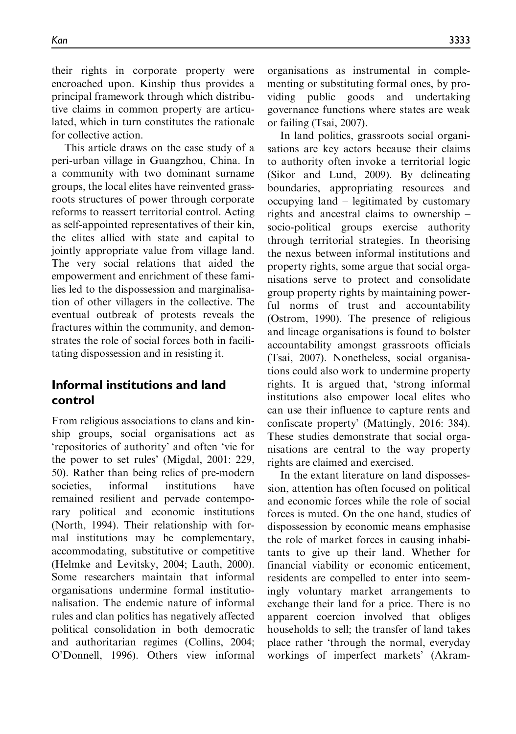their rights in corporate property were encroached upon. Kinship thus provides a principal framework through which distributive claims in common property are articulated, which in turn constitutes the rationale for collective action.

This article draws on the case study of a peri-urban village in Guangzhou, China. In a community with two dominant surname groups, the local elites have reinvented grassroots structures of power through corporate reforms to reassert territorial control. Acting as self-appointed representatives of their kin, the elites allied with state and capital to jointly appropriate value from village land. The very social relations that aided the empowerment and enrichment of these families led to the dispossession and marginalisation of other villagers in the collective. The eventual outbreak of protests reveals the fractures within the community, and demonstrates the role of social forces both in facilitating dispossession and in resisting it.

# Informal institutions and land control

From religious associations to clans and kinship groups, social organisations act as 'repositories of authority' and often 'vie for the power to set rules' (Migdal, 2001: 229, 50). Rather than being relics of pre-modern societies, informal institutions have remained resilient and pervade contemporary political and economic institutions (North, 1994). Their relationship with formal institutions may be complementary, accommodating, substitutive or competitive (Helmke and Levitsky, 2004; Lauth, 2000). Some researchers maintain that informal organisations undermine formal institutionalisation. The endemic nature of informal rules and clan politics has negatively affected political consolidation in both democratic and authoritarian regimes (Collins, 2004; O'Donnell, 1996). Others view informal

organisations as instrumental in complementing or substituting formal ones, by providing public goods and undertaking governance functions where states are weak or failing (Tsai, 2007).

In land politics, grassroots social organisations are key actors because their claims to authority often invoke a territorial logic (Sikor and Lund, 2009). By delineating boundaries, appropriating resources and occupying land – legitimated by customary rights and ancestral claims to ownership – socio-political groups exercise authority through territorial strategies. In theorising the nexus between informal institutions and property rights, some argue that social organisations serve to protect and consolidate group property rights by maintaining powerful norms of trust and accountability (Ostrom, 1990). The presence of religious and lineage organisations is found to bolster accountability amongst grassroots officials (Tsai, 2007). Nonetheless, social organisations could also work to undermine property rights. It is argued that, 'strong informal institutions also empower local elites who can use their influence to capture rents and confiscate property' (Mattingly, 2016: 384). These studies demonstrate that social organisations are central to the way property rights are claimed and exercised.

In the extant literature on land dispossession, attention has often focused on political and economic forces while the role of social forces is muted. On the one hand, studies of dispossession by economic means emphasise the role of market forces in causing inhabitants to give up their land. Whether for financial viability or economic enticement, residents are compelled to enter into seemingly voluntary market arrangements to exchange their land for a price. There is no apparent coercion involved that obliges households to sell; the transfer of land takes place rather 'through the normal, everyday workings of imperfect markets' (Akram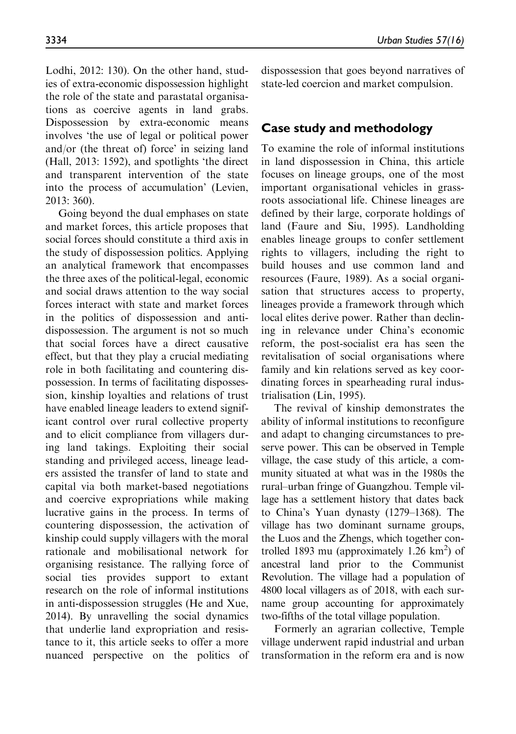Lodhi, 2012: 130). On the other hand, studies of extra-economic dispossession highlight the role of the state and parastatal organisations as coercive agents in land grabs. Dispossession by extra-economic means involves 'the use of legal or political power and/or (the threat of) force' in seizing land (Hall, 2013: 1592), and spotlights 'the direct and transparent intervention of the state into the process of accumulation' (Levien, 2013: 360).

Going beyond the dual emphases on state and market forces, this article proposes that social forces should constitute a third axis in the study of dispossession politics. Applying an analytical framework that encompasses the three axes of the political-legal, economic and social draws attention to the way social forces interact with state and market forces in the politics of dispossession and antidispossession. The argument is not so much that social forces have a direct causative effect, but that they play a crucial mediating role in both facilitating and countering dispossession. In terms of facilitating dispossession, kinship loyalties and relations of trust have enabled lineage leaders to extend significant control over rural collective property and to elicit compliance from villagers during land takings. Exploiting their social standing and privileged access, lineage leaders assisted the transfer of land to state and capital via both market-based negotiations and coercive expropriations while making lucrative gains in the process. In terms of countering dispossession, the activation of kinship could supply villagers with the moral rationale and mobilisational network for organising resistance. The rallying force of social ties provides support to extant research on the role of informal institutions in anti-dispossession struggles (He and Xue, 2014). By unravelling the social dynamics that underlie land expropriation and resistance to it, this article seeks to offer a more nuanced perspective on the politics of dispossession that goes beyond narratives of state-led coercion and market compulsion.

# Case study and methodology

To examine the role of informal institutions in land dispossession in China, this article focuses on lineage groups, one of the most important organisational vehicles in grassroots associational life. Chinese lineages are defined by their large, corporate holdings of land (Faure and Siu, 1995). Landholding enables lineage groups to confer settlement rights to villagers, including the right to build houses and use common land and resources (Faure, 1989). As a social organisation that structures access to property, lineages provide a framework through which local elites derive power. Rather than declining in relevance under China's economic reform, the post-socialist era has seen the revitalisation of social organisations where family and kin relations served as key coordinating forces in spearheading rural industrialisation (Lin, 1995).

The revival of kinship demonstrates the ability of informal institutions to reconfigure and adapt to changing circumstances to preserve power. This can be observed in Temple village, the case study of this article, a community situated at what was in the 1980s the rural–urban fringe of Guangzhou. Temple village has a settlement history that dates back to China's Yuan dynasty (1279–1368). The village has two dominant surname groups, the Luos and the Zhengs, which together controlled 1893 mu (approximately  $1.26 \text{ km}^2$ ) of ancestral land prior to the Communist Revolution. The village had a population of 4800 local villagers as of 2018, with each surname group accounting for approximately two-fifths of the total village population.

Formerly an agrarian collective, Temple village underwent rapid industrial and urban transformation in the reform era and is now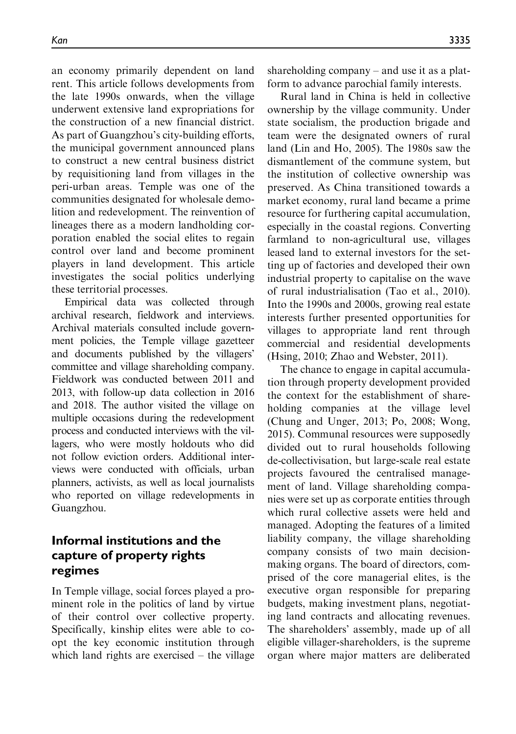an economy primarily dependent on land rent. This article follows developments from the late 1990s onwards, when the village underwent extensive land expropriations for the construction of a new financial district. As part of Guangzhou's city-building efforts, the municipal government announced plans to construct a new central business district by requisitioning land from villages in the peri-urban areas. Temple was one of the communities designated for wholesale demolition and redevelopment. The reinvention of lineages there as a modern landholding corporation enabled the social elites to regain control over land and become prominent players in land development. This article investigates the social politics underlying these territorial processes.

Empirical data was collected through archival research, fieldwork and interviews. Archival materials consulted include government policies, the Temple village gazetteer and documents published by the villagers' committee and village shareholding company. Fieldwork was conducted between 2011 and 2013, with follow-up data collection in 2016 and 2018. The author visited the village on multiple occasions during the redevelopment process and conducted interviews with the villagers, who were mostly holdouts who did not follow eviction orders. Additional interviews were conducted with officials, urban planners, activists, as well as local journalists who reported on village redevelopments in Guangzhou.

# Informal institutions and the capture of property rights regimes

In Temple village, social forces played a prominent role in the politics of land by virtue of their control over collective property. Specifically, kinship elites were able to coopt the key economic institution through which land rights are exercised – the village shareholding company – and use it as a platform to advance parochial family interests.

Rural land in China is held in collective ownership by the village community. Under state socialism, the production brigade and team were the designated owners of rural land (Lin and Ho, 2005). The 1980s saw the dismantlement of the commune system, but the institution of collective ownership was preserved. As China transitioned towards a market economy, rural land became a prime resource for furthering capital accumulation, especially in the coastal regions. Converting farmland to non-agricultural use, villages leased land to external investors for the setting up of factories and developed their own industrial property to capitalise on the wave of rural industrialisation (Tao et al., 2010). Into the 1990s and 2000s, growing real estate interests further presented opportunities for villages to appropriate land rent through commercial and residential developments (Hsing, 2010; Zhao and Webster, 2011).

The chance to engage in capital accumulation through property development provided the context for the establishment of shareholding companies at the village level (Chung and Unger, 2013; Po, 2008; Wong, 2015). Communal resources were supposedly divided out to rural households following de-collectivisation, but large-scale real estate projects favoured the centralised management of land. Village shareholding companies were set up as corporate entities through which rural collective assets were held and managed. Adopting the features of a limited liability company, the village shareholding company consists of two main decisionmaking organs. The board of directors, comprised of the core managerial elites, is the executive organ responsible for preparing budgets, making investment plans, negotiating land contracts and allocating revenues. The shareholders' assembly, made up of all eligible villager-shareholders, is the supreme organ where major matters are deliberated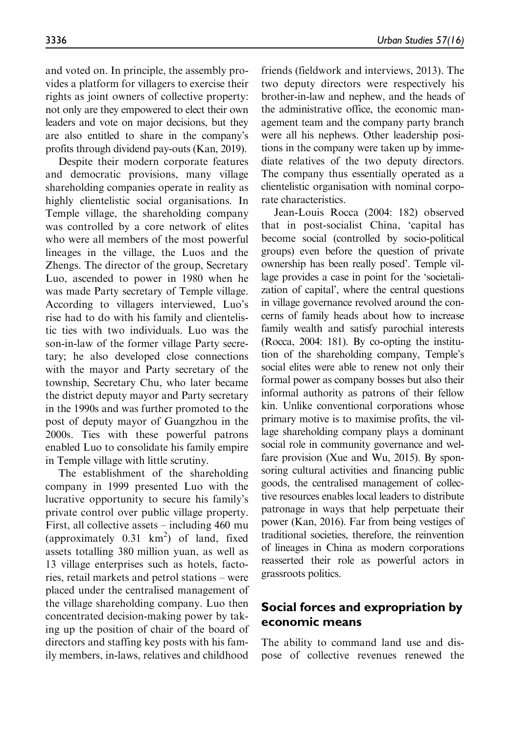and voted on. In principle, the assembly provides a platform for villagers to exercise their rights as joint owners of collective property: not only are they empowered to elect their own leaders and vote on major decisions, but they are also entitled to share in the company's profits through dividend pay-outs (Kan, 2019).

Despite their modern corporate features and democratic provisions, many village shareholding companies operate in reality as highly clientelistic social organisations. In Temple village, the shareholding company was controlled by a core network of elites who were all members of the most powerful lineages in the village, the Luos and the Zhengs. The director of the group, Secretary Luo, ascended to power in 1980 when he was made Party secretary of Temple village. According to villagers interviewed, Luo's rise had to do with his family and clientelistic ties with two individuals. Luo was the son-in-law of the former village Party secretary; he also developed close connections with the mayor and Party secretary of the township, Secretary Chu, who later became the district deputy mayor and Party secretary in the 1990s and was further promoted to the post of deputy mayor of Guangzhou in the 2000s. Ties with these powerful patrons enabled Luo to consolidate his family empire in Temple village with little scrutiny.

The establishment of the shareholding company in 1999 presented Luo with the lucrative opportunity to secure his family's private control over public village property. First, all collective assets – including 460 mu (approximately  $0.31 \text{ km}^2$ ) of land, fixed assets totalling 380 million yuan, as well as 13 village enterprises such as hotels, factories, retail markets and petrol stations – were placed under the centralised management of the village shareholding company. Luo then concentrated decision-making power by taking up the position of chair of the board of directors and staffing key posts with his family members, in-laws, relatives and childhood

friends (fieldwork and interviews, 2013). The two deputy directors were respectively his brother-in-law and nephew, and the heads of the administrative office, the economic management team and the company party branch were all his nephews. Other leadership positions in the company were taken up by immediate relatives of the two deputy directors. The company thus essentially operated as a clientelistic organisation with nominal corporate characteristics.

Jean-Louis Rocca (2004: 182) observed that in post-socialist China, 'capital has become social (controlled by socio-political groups) even before the question of private ownership has been really posed'. Temple village provides a case in point for the 'societalization of capital', where the central questions in village governance revolved around the concerns of family heads about how to increase family wealth and satisfy parochial interests (Rocca, 2004: 181). By co-opting the institution of the shareholding company, Temple's social elites were able to renew not only their formal power as company bosses but also their informal authority as patrons of their fellow kin. Unlike conventional corporations whose primary motive is to maximise profits, the village shareholding company plays a dominant social role in community governance and welfare provision (Xue and Wu, 2015). By sponsoring cultural activities and financing public goods, the centralised management of collective resources enables local leaders to distribute patronage in ways that help perpetuate their power (Kan, 2016). Far from being vestiges of traditional societies, therefore, the reinvention of lineages in China as modern corporations reasserted their role as powerful actors in grassroots politics.

## Social forces and expropriation by economic means

The ability to command land use and dispose of collective revenues renewed the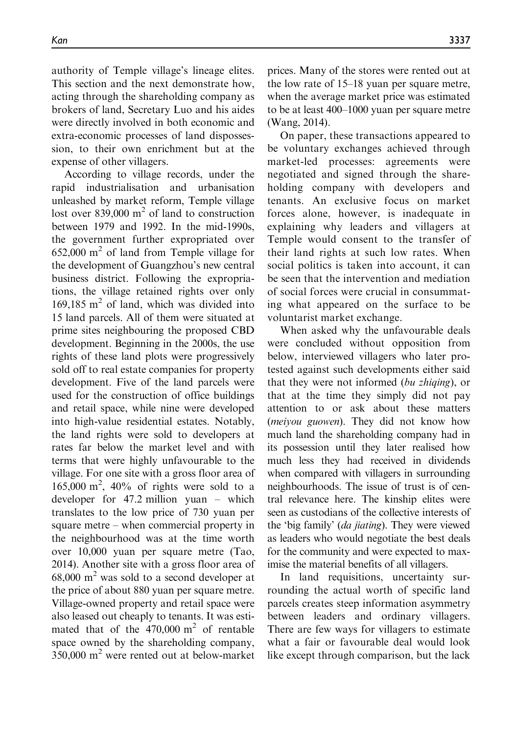authority of Temple village's lineage elites. This section and the next demonstrate how, acting through the shareholding company as brokers of land, Secretary Luo and his aides were directly involved in both economic and extra-economic processes of land dispossession, to their own enrichment but at the expense of other villagers.

According to village records, under the rapid industrialisation and urbanisation unleashed by market reform, Temple village lost over 839,000  $m<sup>2</sup>$  of land to construction between 1979 and 1992. In the mid-1990s, the government further expropriated over  $652,000 \text{ m}^2$  of land from Temple village for the development of Guangzhou's new central business district. Following the expropriations, the village retained rights over only  $169,185 \text{ m}^2$  of land, which was divided into 15 land parcels. All of them were situated at prime sites neighbouring the proposed CBD development. Beginning in the 2000s, the use rights of these land plots were progressively sold off to real estate companies for property development. Five of the land parcels were used for the construction of office buildings and retail space, while nine were developed into high-value residential estates. Notably, the land rights were sold to developers at rates far below the market level and with terms that were highly unfavourable to the village. For one site with a gross floor area of  $165,000$  m<sup>2</sup>,  $40\%$  of rights were sold to a developer for 47.2 million yuan – which translates to the low price of 730 yuan per square metre – when commercial property in the neighbourhood was at the time worth over 10,000 yuan per square metre (Tao, 2014). Another site with a gross floor area of  $68,000$  m<sup>2</sup> was sold to a second developer at the price of about 880 yuan per square metre. Village-owned property and retail space were also leased out cheaply to tenants. It was estimated that of the  $470,000 \text{ m}^2$  of rentable space owned by the shareholding company, 350,000 m2 were rented out at below-market

prices. Many of the stores were rented out at the low rate of 15–18 yuan per square metre, when the average market price was estimated to be at least 400–1000 yuan per square metre (Wang, 2014).

On paper, these transactions appeared to be voluntary exchanges achieved through market-led processes: agreements were negotiated and signed through the shareholding company with developers and tenants. An exclusive focus on market forces alone, however, is inadequate in explaining why leaders and villagers at Temple would consent to the transfer of their land rights at such low rates. When social politics is taken into account, it can be seen that the intervention and mediation of social forces were crucial in consummating what appeared on the surface to be voluntarist market exchange.

When asked why the unfavourable deals were concluded without opposition from below, interviewed villagers who later protested against such developments either said that they were not informed (bu zhiqing), or that at the time they simply did not pay attention to or ask about these matters (meiyou guowen). They did not know how much land the shareholding company had in its possession until they later realised how much less they had received in dividends when compared with villagers in surrounding neighbourhoods. The issue of trust is of central relevance here. The kinship elites were seen as custodians of the collective interests of the 'big family' (da jiating). They were viewed as leaders who would negotiate the best deals for the community and were expected to maximise the material benefits of all villagers.

In land requisitions, uncertainty surrounding the actual worth of specific land parcels creates steep information asymmetry between leaders and ordinary villagers. There are few ways for villagers to estimate what a fair or favourable deal would look like except through comparison, but the lack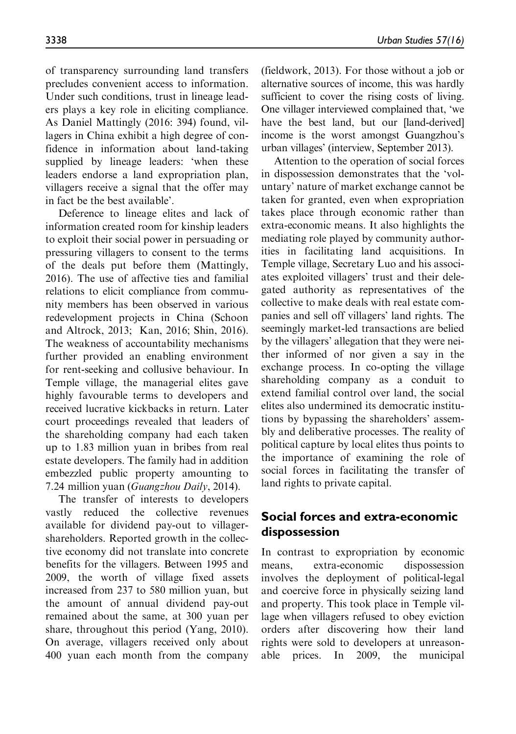of transparency surrounding land transfers precludes convenient access to information. Under such conditions, trust in lineage leaders plays a key role in eliciting compliance. As Daniel Mattingly (2016: 394) found, villagers in China exhibit a high degree of confidence in information about land-taking supplied by lineage leaders: 'when these leaders endorse a land expropriation plan, villagers receive a signal that the offer may in fact be the best available'.

Deference to lineage elites and lack of information created room for kinship leaders to exploit their social power in persuading or pressuring villagers to consent to the terms of the deals put before them (Mattingly, 2016). The use of affective ties and familial relations to elicit compliance from community members has been observed in various redevelopment projects in China (Schoon and Altrock, 2013; Kan, 2016; Shin, 2016). The weakness of accountability mechanisms further provided an enabling environment for rent-seeking and collusive behaviour. In Temple village, the managerial elites gave highly favourable terms to developers and received lucrative kickbacks in return. Later court proceedings revealed that leaders of the shareholding company had each taken up to 1.83 million yuan in bribes from real estate developers. The family had in addition embezzled public property amounting to 7.24 million yuan (Guangzhou Daily, 2014).

The transfer of interests to developers vastly reduced the collective revenues available for dividend pay-out to villagershareholders. Reported growth in the collective economy did not translate into concrete benefits for the villagers. Between 1995 and 2009, the worth of village fixed assets increased from 237 to 580 million yuan, but the amount of annual dividend pay-out remained about the same, at 300 yuan per share, throughout this period (Yang, 2010). On average, villagers received only about 400 yuan each month from the company (fieldwork, 2013). For those without a job or alternative sources of income, this was hardly sufficient to cover the rising costs of living. One villager interviewed complained that, 'we have the best land, but our [land-derived] income is the worst amongst Guangzhou's urban villages' (interview, September 2013).

Attention to the operation of social forces in dispossession demonstrates that the 'voluntary' nature of market exchange cannot be taken for granted, even when expropriation takes place through economic rather than extra-economic means. It also highlights the mediating role played by community authorities in facilitating land acquisitions. In Temple village, Secretary Luo and his associates exploited villagers' trust and their delegated authority as representatives of the collective to make deals with real estate companies and sell off villagers' land rights. The seemingly market-led transactions are belied by the villagers' allegation that they were neither informed of nor given a say in the exchange process. In co-opting the village shareholding company as a conduit to extend familial control over land, the social elites also undermined its democratic institutions by bypassing the shareholders' assembly and deliberative processes. The reality of political capture by local elites thus points to the importance of examining the role of social forces in facilitating the transfer of land rights to private capital.

# Social forces and extra-economic dispossession

In contrast to expropriation by economic means, extra-economic dispossession involves the deployment of political-legal and coercive force in physically seizing land and property. This took place in Temple village when villagers refused to obey eviction orders after discovering how their land rights were sold to developers at unreasonable prices. In 2009, the municipal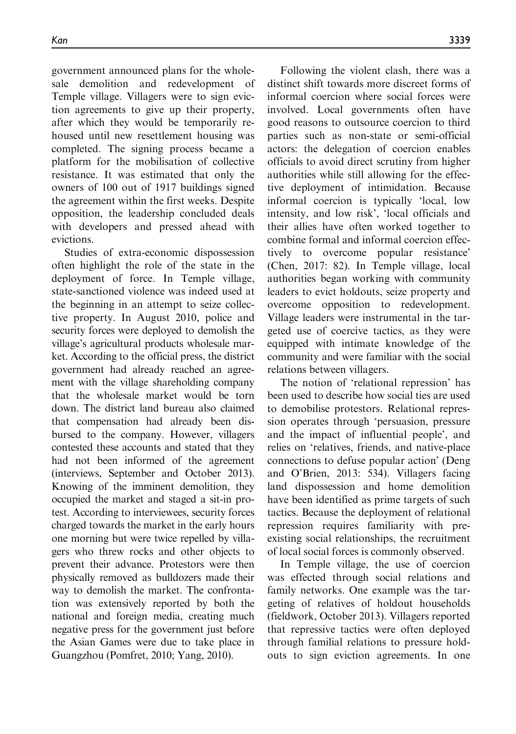government announced plans for the wholesale demolition and redevelopment of Temple village. Villagers were to sign eviction agreements to give up their property, after which they would be temporarily rehoused until new resettlement housing was completed. The signing process became a platform for the mobilisation of collective resistance. It was estimated that only the owners of 100 out of 1917 buildings signed the agreement within the first weeks. Despite opposition, the leadership concluded deals with developers and pressed ahead with evictions.

Studies of extra-economic dispossession often highlight the role of the state in the deployment of force. In Temple village, state-sanctioned violence was indeed used at the beginning in an attempt to seize collective property. In August 2010, police and security forces were deployed to demolish the village's agricultural products wholesale market. According to the official press, the district government had already reached an agreement with the village shareholding company that the wholesale market would be torn down. The district land bureau also claimed that compensation had already been disbursed to the company. However, villagers contested these accounts and stated that they had not been informed of the agreement (interviews, September and October 2013). Knowing of the imminent demolition, they occupied the market and staged a sit-in protest. According to interviewees, security forces charged towards the market in the early hours one morning but were twice repelled by villagers who threw rocks and other objects to prevent their advance. Protestors were then physically removed as bulldozers made their way to demolish the market. The confrontation was extensively reported by both the national and foreign media, creating much negative press for the government just before the Asian Games were due to take place in Guangzhou (Pomfret, 2010; Yang, 2010).

Following the violent clash, there was a distinct shift towards more discreet forms of informal coercion where social forces were involved. Local governments often have good reasons to outsource coercion to third parties such as non-state or semi-official actors: the delegation of coercion enables officials to avoid direct scrutiny from higher authorities while still allowing for the effective deployment of intimidation. Because informal coercion is typically 'local, low intensity, and low risk', 'local officials and their allies have often worked together to combine formal and informal coercion effectively to overcome popular resistance' (Chen, 2017: 82). In Temple village, local authorities began working with community leaders to evict holdouts, seize property and overcome opposition to redevelopment. Village leaders were instrumental in the targeted use of coercive tactics, as they were equipped with intimate knowledge of the community and were familiar with the social relations between villagers.

The notion of 'relational repression' has been used to describe how social ties are used to demobilise protestors. Relational repression operates through 'persuasion, pressure and the impact of influential people', and relies on 'relatives, friends, and native-place connections to defuse popular action' (Deng and O'Brien, 2013: 534). Villagers facing land dispossession and home demolition have been identified as prime targets of such tactics. Because the deployment of relational repression requires familiarity with preexisting social relationships, the recruitment of local social forces is commonly observed.

In Temple village, the use of coercion was effected through social relations and family networks. One example was the targeting of relatives of holdout households (fieldwork, October 2013). Villagers reported that repressive tactics were often deployed through familial relations to pressure holdouts to sign eviction agreements. In one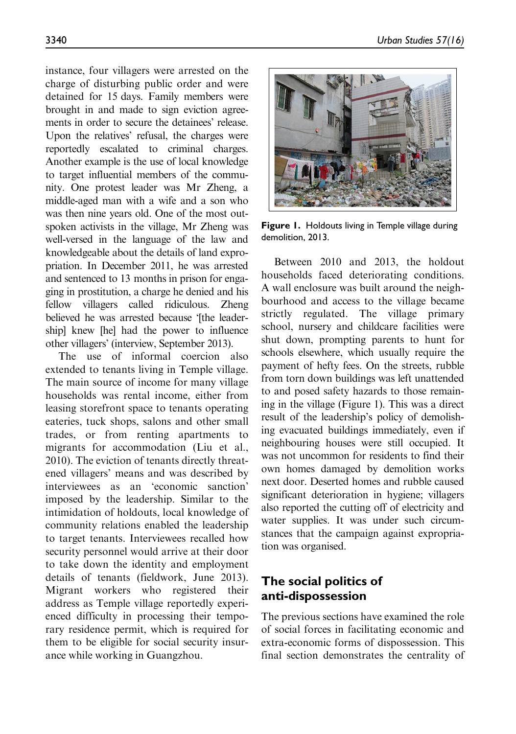instance, four villagers were arrested on the charge of disturbing public order and were detained for 15 days. Family members were brought in and made to sign eviction agreements in order to secure the detainees' release. Upon the relatives' refusal, the charges were reportedly escalated to criminal charges. Another example is the use of local knowledge to target influential members of the community. One protest leader was Mr Zheng, a middle-aged man with a wife and a son who was then nine years old. One of the most outspoken activists in the village, Mr Zheng was well-versed in the language of the law and knowledgeable about the details of land expropriation. In December 2011, he was arrested and sentenced to 13 months in prison for engaging in prostitution, a charge he denied and his fellow villagers called ridiculous. Zheng believed he was arrested because '<sup>[the leader-</sup> ship] knew [he] had the power to influence other villagers' (interview, September 2013).

The use of informal coercion also extended to tenants living in Temple village. The main source of income for many village households was rental income, either from leasing storefront space to tenants operating eateries, tuck shops, salons and other small trades, or from renting apartments to migrants for accommodation (Liu et al., 2010). The eviction of tenants directly threatened villagers' means and was described by interviewees as an 'economic sanction' imposed by the leadership. Similar to the intimidation of holdouts, local knowledge of community relations enabled the leadership to target tenants. Interviewees recalled how security personnel would arrive at their door to take down the identity and employment details of tenants (fieldwork, June 2013). Migrant workers who registered their address as Temple village reportedly experienced difficulty in processing their temporary residence permit, which is required for them to be eligible for social security insurance while working in Guangzhou.



Figure 1. Holdouts living in Temple village during demolition, 2013.

Between 2010 and 2013, the holdout households faced deteriorating conditions. A wall enclosure was built around the neighbourhood and access to the village became strictly regulated. The village primary school, nursery and childcare facilities were shut down, prompting parents to hunt for schools elsewhere, which usually require the payment of hefty fees. On the streets, rubble from torn down buildings was left unattended to and posed safety hazards to those remaining in the village (Figure 1). This was a direct result of the leadership's policy of demolishing evacuated buildings immediately, even if neighbouring houses were still occupied. It was not uncommon for residents to find their own homes damaged by demolition works next door. Deserted homes and rubble caused significant deterioration in hygiene; villagers also reported the cutting off of electricity and water supplies. It was under such circumstances that the campaign against expropriation was organised.

# The social politics of anti-dispossession

The previous sections have examined the role of social forces in facilitating economic and extra-economic forms of dispossession. This final section demonstrates the centrality of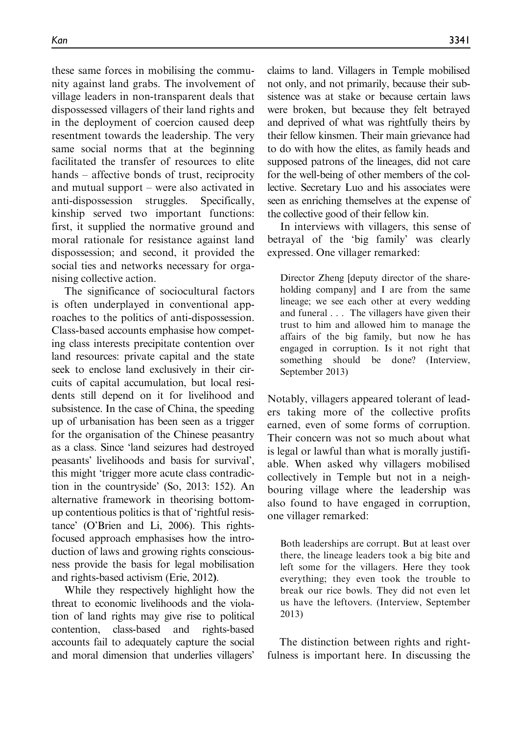these same forces in mobilising the community against land grabs. The involvement of village leaders in non-transparent deals that dispossessed villagers of their land rights and in the deployment of coercion caused deep resentment towards the leadership. The very same social norms that at the beginning facilitated the transfer of resources to elite hands – affective bonds of trust, reciprocity and mutual support – were also activated in anti-dispossession struggles. Specifically, kinship served two important functions: first, it supplied the normative ground and moral rationale for resistance against land dispossession; and second, it provided the social ties and networks necessary for organising collective action.

The significance of sociocultural factors is often underplayed in conventional approaches to the politics of anti-dispossession. Class-based accounts emphasise how competing class interests precipitate contention over land resources: private capital and the state seek to enclose land exclusively in their circuits of capital accumulation, but local residents still depend on it for livelihood and subsistence. In the case of China, the speeding up of urbanisation has been seen as a trigger for the organisation of the Chinese peasantry as a class. Since 'land seizures had destroyed peasants' livelihoods and basis for survival', this might 'trigger more acute class contradiction in the countryside' (So, 2013: 152). An alternative framework in theorising bottomup contentious politics is that of 'rightful resistance' (O'Brien and Li, 2006). This rightsfocused approach emphasises how the introduction of laws and growing rights consciousness provide the basis for legal mobilisation and rights-based activism (Erie, 2012).

While they respectively highlight how the threat to economic livelihoods and the violation of land rights may give rise to political contention, class-based and rights-based accounts fail to adequately capture the social and moral dimension that underlies villagers'

claims to land. Villagers in Temple mobilised not only, and not primarily, because their subsistence was at stake or because certain laws were broken, but because they felt betrayed and deprived of what was rightfully theirs by their fellow kinsmen. Their main grievance had to do with how the elites, as family heads and supposed patrons of the lineages, did not care for the well-being of other members of the collective. Secretary Luo and his associates were seen as enriching themselves at the expense of the collective good of their fellow kin.

In interviews with villagers, this sense of betrayal of the 'big family' was clearly expressed. One villager remarked:

Director Zheng [deputy director of the shareholding company] and I are from the same lineage; we see each other at every wedding and funeral . . . The villagers have given their trust to him and allowed him to manage the affairs of the big family, but now he has engaged in corruption. Is it not right that something should be done? (Interview, September 2013)

Notably, villagers appeared tolerant of leaders taking more of the collective profits earned, even of some forms of corruption. Their concern was not so much about what is legal or lawful than what is morally justifiable. When asked why villagers mobilised collectively in Temple but not in a neighbouring village where the leadership was also found to have engaged in corruption, one villager remarked:

Both leaderships are corrupt. But at least over there, the lineage leaders took a big bite and left some for the villagers. Here they took everything; they even took the trouble to break our rice bowls. They did not even let us have the leftovers. (Interview, September 2013)

The distinction between rights and rightfulness is important here. In discussing the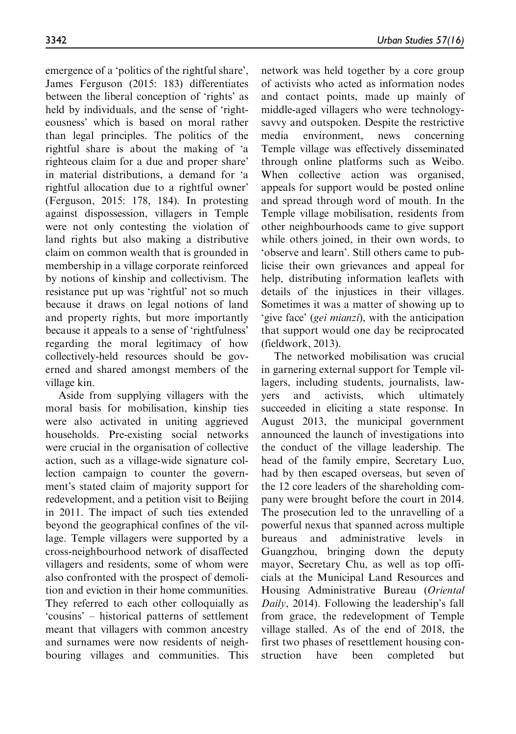emergence of a 'politics of the rightful share', James Ferguson (2015: 183) differentiates between the liberal conception of 'rights' as held by individuals, and the sense of 'righteousness' which is based on moral rather than legal principles. The politics of the rightful share is about the making of 'a righteous claim for a due and proper share' in material distributions, a demand for 'a rightful allocation due to a rightful owner' (Ferguson, 2015: 178, 184). In protesting against dispossession, villagers in Temple were not only contesting the violation of land rights but also making a distributive claim on common wealth that is grounded in membership in a village corporate reinforced by notions of kinship and collectivism. The resistance put up was 'rightful' not so much because it draws on legal notions of land and property rights, but more importantly because it appeals to a sense of 'rightfulness' regarding the moral legitimacy of how collectively-held resources should be governed and shared amongst members of the village kin.

Aside from supplying villagers with the moral basis for mobilisation, kinship ties were also activated in uniting aggrieved households. Pre-existing social networks were crucial in the organisation of collective action, such as a village-wide signature collection campaign to counter the government's stated claim of majority support for redevelopment, and a petition visit to Beijing in 2011. The impact of such ties extended beyond the geographical confines of the village. Temple villagers were supported by a cross-neighbourhood network of disaffected villagers and residents, some of whom were also confronted with the prospect of demolition and eviction in their home communities. They referred to each other colloquially as 'cousins' – historical patterns of settlement meant that villagers with common ancestry and surnames were now residents of neighbouring villages and communities. This network was held together by a core group of activists who acted as information nodes and contact points, made up mainly of middle-aged villagers who were technologysavvy and outspoken. Despite the restrictive media environment, news concerning Temple village was effectively disseminated through online platforms such as Weibo. When collective action was organised, appeals for support would be posted online and spread through word of mouth. In the Temple village mobilisation, residents from other neighbourhoods came to give support while others joined, in their own words, to 'observe and learn'. Still others came to publicise their own grievances and appeal for help, distributing information leaflets with details of the injustices in their villages. Sometimes it was a matter of showing up to 'give face' (gei mianzi), with the anticipation that support would one day be reciprocated (fieldwork, 2013).

The networked mobilisation was crucial in garnering external support for Temple villagers, including students, journalists, lawyers and activists, which ultimately succeeded in eliciting a state response. In August 2013, the municipal government announced the launch of investigations into the conduct of the village leadership. The head of the family empire, Secretary Luo, had by then escaped overseas, but seven of the 12 core leaders of the shareholding company were brought before the court in 2014. The prosecution led to the unravelling of a powerful nexus that spanned across multiple bureaus and administrative levels in Guangzhou, bringing down the deputy mayor, Secretary Chu, as well as top officials at the Municipal Land Resources and Housing Administrative Bureau (Oriental Daily, 2014). Following the leadership's fall from grace, the redevelopment of Temple village stalled. As of the end of 2018, the first two phases of resettlement housing construction have been completed but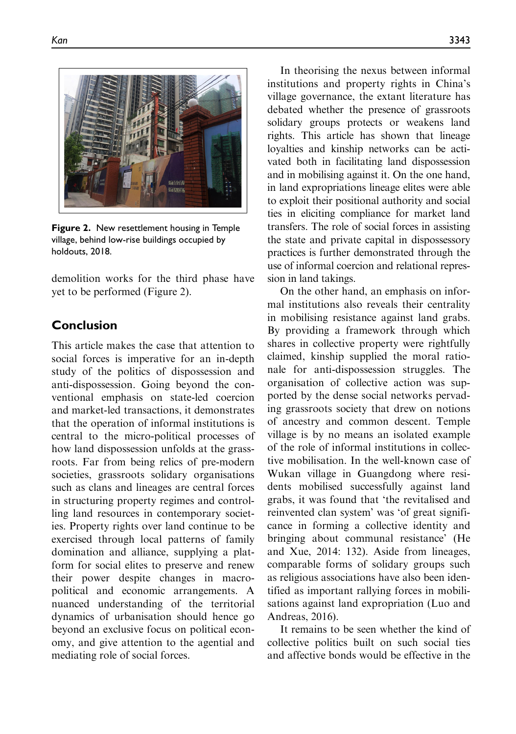

Figure 2. New resettlement housing in Temple village, behind low-rise buildings occupied by holdouts, 2018.

demolition works for the third phase have yet to be performed (Figure 2).

### Conclusion

This article makes the case that attention to social forces is imperative for an in-depth study of the politics of dispossession and anti-dispossession. Going beyond the conventional emphasis on state-led coercion and market-led transactions, it demonstrates that the operation of informal institutions is central to the micro-political processes of how land dispossession unfolds at the grassroots. Far from being relics of pre-modern societies, grassroots solidary organisations such as clans and lineages are central forces in structuring property regimes and controlling land resources in contemporary societies. Property rights over land continue to be exercised through local patterns of family domination and alliance, supplying a platform for social elites to preserve and renew their power despite changes in macropolitical and economic arrangements. A nuanced understanding of the territorial dynamics of urbanisation should hence go beyond an exclusive focus on political economy, and give attention to the agential and mediating role of social forces.

In theorising the nexus between informal institutions and property rights in China's village governance, the extant literature has debated whether the presence of grassroots solidary groups protects or weakens land rights. This article has shown that lineage loyalties and kinship networks can be activated both in facilitating land dispossession and in mobilising against it. On the one hand, in land expropriations lineage elites were able to exploit their positional authority and social ties in eliciting compliance for market land transfers. The role of social forces in assisting the state and private capital in dispossessory practices is further demonstrated through the use of informal coercion and relational repression in land takings.

On the other hand, an emphasis on informal institutions also reveals their centrality in mobilising resistance against land grabs. By providing a framework through which shares in collective property were rightfully claimed, kinship supplied the moral rationale for anti-dispossession struggles. The organisation of collective action was supported by the dense social networks pervading grassroots society that drew on notions of ancestry and common descent. Temple village is by no means an isolated example of the role of informal institutions in collective mobilisation. In the well-known case of Wukan village in Guangdong where residents mobilised successfully against land grabs, it was found that 'the revitalised and reinvented clan system' was 'of great significance in forming a collective identity and bringing about communal resistance' (He and Xue, 2014: 132). Aside from lineages, comparable forms of solidary groups such as religious associations have also been identified as important rallying forces in mobilisations against land expropriation (Luo and Andreas, 2016).

It remains to be seen whether the kind of collective politics built on such social ties and affective bonds would be effective in the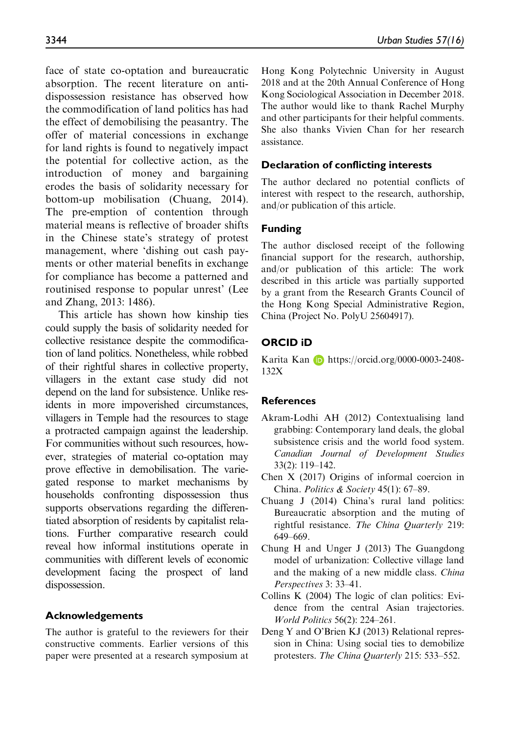face of state co-optation and bureaucratic absorption. The recent literature on anti-Hong Kong Polytechnic University in August 2018 and at the 20th Annual Conference of Hong Kong Sociological Association in December 2018. The author would like to thank Rachel Murphy and other participants for their helpful comments. She also thanks Vivien Chan for her research assistance.

### Declaration of conflicting interests

The author declared no potential conflicts of interest with respect to the research, authorship, and/or publication of this article.

#### Funding

The author disclosed receipt of the following financial support for the research, authorship, and/or publication of this article: The work described in this article was partially supported by a grant from the Research Grants Council of the Hong Kong Special Administrative Region, China (Project No. PolyU 25604917).

### ORCID iD

Karita Kan  $\Box$  [https://orcid.org/0000-0003-2408-](https://orcid.org/0000-0003-2408-132X) [132X](https://orcid.org/0000-0003-2408-132X)

#### References

- Akram-Lodhi AH (2012) Contextualising land grabbing: Contemporary land deals, the global subsistence crisis and the world food system. Canadian Journal of Development Studies 33(2): 119–142.
- Chen X (2017) Origins of informal coercion in China. Politics & Society 45(1): 67–89.
- Chuang J (2014) China's rural land politics: Bureaucratic absorption and the muting of rightful resistance. The China Quarterly 219: 649–669.
- Chung H and Unger J (2013) The Guangdong model of urbanization: Collective village land and the making of a new middle class. China Perspectives 3: 33–41.
- Collins K (2004) The logic of clan politics: Evidence from the central Asian trajectories. World Politics 56(2): 224–261.
- Deng Y and O'Brien KJ (2013) Relational repression in China: Using social ties to demobilize protesters. The China Quarterly 215: 533–552.

dispossession resistance has observed how the commodification of land politics has had the effect of demobilising the peasantry. The offer of material concessions in exchange for land rights is found to negatively impact the potential for collective action, as the introduction of money and bargaining erodes the basis of solidarity necessary for bottom-up mobilisation (Chuang, 2014). The pre-emption of contention through material means is reflective of broader shifts in the Chinese state's strategy of protest management, where 'dishing out cash payments or other material benefits in exchange for compliance has become a patterned and routinised response to popular unrest' (Lee and Zhang, 2013: 1486).

This article has shown how kinship ties could supply the basis of solidarity needed for collective resistance despite the commodification of land politics. Nonetheless, while robbed of their rightful shares in collective property, villagers in the extant case study did not depend on the land for subsistence. Unlike residents in more impoverished circumstances, villagers in Temple had the resources to stage a protracted campaign against the leadership. For communities without such resources, however, strategies of material co-optation may prove effective in demobilisation. The variegated response to market mechanisms by households confronting dispossession thus supports observations regarding the differentiated absorption of residents by capitalist relations. Further comparative research could reveal how informal institutions operate in communities with different levels of economic development facing the prospect of land dispossession.

### Acknowledgements

The author is grateful to the reviewers for their constructive comments. Earlier versions of this paper were presented at a research symposium at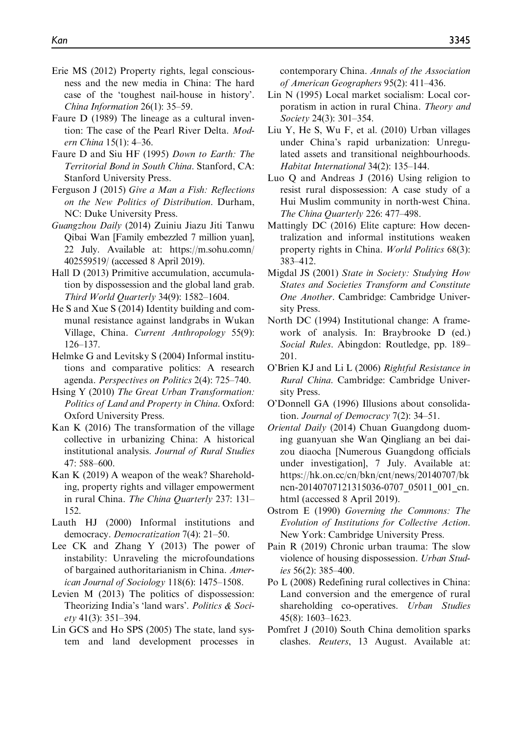- Erie MS (2012) Property rights, legal consciousness and the new media in China: The hard case of the 'toughest nail-house in history'. China Information 26(1): 35–59.
- Faure D (1989) The lineage as a cultural invention: The case of the Pearl River Delta. Modern China 15(1): 4–36.
- Faure D and Siu HF (1995) Down to Earth: The Territorial Bond in South China. Stanford, CA: Stanford University Press.
- Ferguson J (2015) Give a Man a Fish: Reflections on the New Politics of Distribution. Durham, NC: Duke University Press.
- Guangzhou Daily (2014) Zuiniu Jiazu Jiti Tanwu Qibai Wan [Family embezzled 7 million yuan], 22 July. Available at: [https://m.sohu.comn/](https://m.sohu.comn/402559519/) [402559519/](https://m.sohu.comn/402559519/) (accessed 8 April 2019).
- Hall D (2013) Primitive accumulation, accumulation by dispossession and the global land grab. Third World Quarterly 34(9): 1582–1604.
- He S and Xue S (2014) Identity building and communal resistance against landgrabs in Wukan Village, China. Current Anthropology 55(9): 126–137.
- Helmke G and Levitsky S (2004) Informal institutions and comparative politics: A research agenda. Perspectives on Politics 2(4): 725–740.
- Hsing Y (2010) The Great Urban Transformation: Politics of Land and Property in China. Oxford: Oxford University Press.
- Kan K (2016) The transformation of the village collective in urbanizing China: A historical institutional analysis. Journal of Rural Studies 47: 588–600.
- Kan K (2019) A weapon of the weak? Shareholding, property rights and villager empowerment in rural China. The China Quarterly 237: 131– 152.
- Lauth HJ (2000) Informal institutions and democracy. Democratization 7(4): 21–50.
- Lee CK and Zhang Y (2013) The power of instability: Unraveling the microfoundations of bargained authoritarianism in China. American Journal of Sociology 118(6): 1475–1508.
- Levien M (2013) The politics of dispossession: Theorizing India's 'land wars'. Politics & Soci $ety$  41(3): 351–394.
- Lin GCS and Ho SPS (2005) The state, land system and land development processes in

contemporary China. Annals of the Association of American Geographers 95(2): 411–436.

- Lin N (1995) Local market socialism: Local corporatism in action in rural China. Theory and Society 24(3): 301–354.
- Liu Y, He S, Wu F, et al. (2010) Urban villages under China's rapid urbanization: Unregulated assets and transitional neighbourhoods. Habitat International 34(2): 135–144.
- Luo Q and Andreas J (2016) Using religion to resist rural dispossession: A case study of a Hui Muslim community in north-west China. The China Quarterly 226: 477–498.
- Mattingly DC (2016) Elite capture: How decentralization and informal institutions weaken property rights in China. World Politics 68(3): 383–412.
- Migdal JS (2001) State in Society: Studying How States and Societies Transform and Constitute One Another. Cambridge: Cambridge University Press.
- North DC (1994) Institutional change: A framework of analysis. In: Braybrooke D (ed.) Social Rules. Abingdon: Routledge, pp. 189– 201.
- O'Brien KJ and Li L (2006) Rightful Resistance in Rural China. Cambridge: Cambridge University Press.
- O'Donnell GA (1996) Illusions about consolidation. Journal of Democracy 7(2): 34–51.
- Oriental Daily (2014) Chuan Guangdong duoming guanyuan she Wan Qingliang an bei daizou diaocha [Numerous Guangdong officials under investigation], 7 July. Available at: [https://hk.on.cc/cn/bkn/cnt/news/20140707/bk](http://big5.cntv.cn/gate/big5/news.cntv.cn/2014/07/22/ARTI1405999003655348.shtml) [ncn-20140707121315036-0707\\_05011\\_001\\_cn.](http://big5.cntv.cn/gate/big5/news.cntv.cn/2014/07/22/ARTI1405999003655348.shtml) [html](http://big5.cntv.cn/gate/big5/news.cntv.cn/2014/07/22/ARTI1405999003655348.shtml) (accessed 8 April 2019).
- Ostrom E (1990) Governing the Commons: The Evolution of Institutions for Collective Action. New York: Cambridge University Press.
- Pain R (2019) Chronic urban trauma: The slow violence of housing dispossession. Urban Studies 56(2): 385–400.
- Po L (2008) Redefining rural collectives in China: Land conversion and the emergence of rural shareholding co-operatives. Urban Studies 45(8): 1603–1623.
- Pomfret J (2010) South China demolition sparks clashes. Reuters, 13 August. Available at: